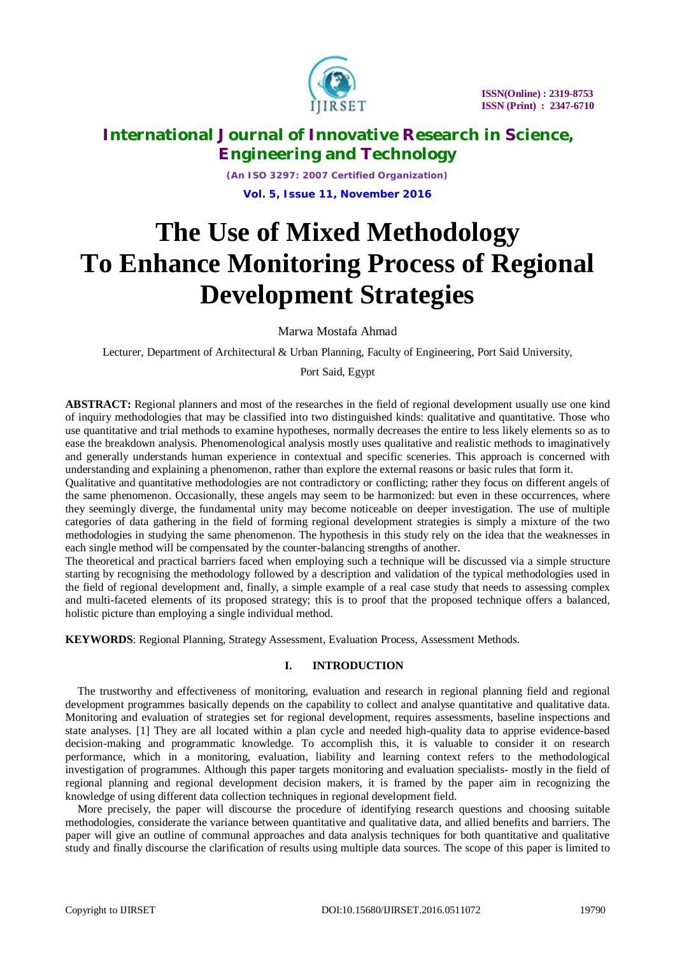

*(An ISO 3297: 2007 Certified Organization)* **Vol. 5, Issue 11, November 2016**

# **The Use of Mixed Methodology To Enhance Monitoring Process of Regional Development Strategies**

Marwa Mostafa Ahmad

Lecturer, Department of Architectural & Urban Planning, Faculty of Engineering, Port Said University,

### Port Said, Egypt

**ABSTRACT:** Regional planners and most of the researches in the field of regional development usually use one kind of inquiry methodologies that may be classified into two distinguished kinds: qualitative and quantitative. Those who use quantitative and trial methods to examine hypotheses, normally decreases the entire to less likely elements so as to ease the breakdown analysis. Phenomenological analysis mostly uses qualitative and realistic methods to imaginatively and generally understands human experience in contextual and specific sceneries. This approach is concerned with understanding and explaining a phenomenon, rather than explore the external reasons or basic rules that form it.

Qualitative and quantitative methodologies are not contradictory or conflicting; rather they focus on different angels of the same phenomenon. Occasionally, these angels may seem to be harmonized: but even in these occurrences, where they seemingly diverge, the fundamental unity may become noticeable on deeper investigation. The use of multiple categories of data gathering in the field of forming regional development strategies is simply a mixture of the two methodologies in studying the same phenomenon. The hypothesis in this study rely on the idea that the weaknesses in each single method will be compensated by the counter-balancing strengths of another.

The theoretical and practical barriers faced when employing such a technique will be discussed via a simple structure starting by recognising the methodology followed by a description and validation of the typical methodologies used in the field of regional development and, finally, a simple example of a real case study that needs to assessing complex and multi-faceted elements of its proposed strategy; this is to proof that the proposed technique offers a balanced, holistic picture than employing a single individual method.

**KEYWORDS**: Regional Planning, Strategy Assessment, Evaluation Process, Assessment Methods.

### **I. INTRODUCTION**

The trustworthy and effectiveness of monitoring, evaluation and research in regional planning field and regional development programmes basically depends on the capability to collect and analyse quantitative and qualitative data. Monitoring and evaluation of strategies set for regional development, requires assessments, baseline inspections and state analyses. [1] They are all located within a plan cycle and needed high-quality data to apprise evidence-based decision-making and programmatic knowledge. To accomplish this, it is valuable to consider it on research performance, which in a monitoring, evaluation, liability and learning context refers to the methodological investigation of programmes. Although this paper targets monitoring and evaluation specialists- mostly in the field of regional planning and regional development decision makers, it is framed by the paper aim in recognizing the knowledge of using different data collection techniques in regional development field.

More precisely, the paper will discourse the procedure of identifying research questions and choosing suitable methodologies, considerate the variance between quantitative and qualitative data, and allied benefits and barriers. The paper will give an outline of communal approaches and data analysis techniques for both quantitative and qualitative study and finally discourse the clarification of results using multiple data sources. The scope of this paper is limited to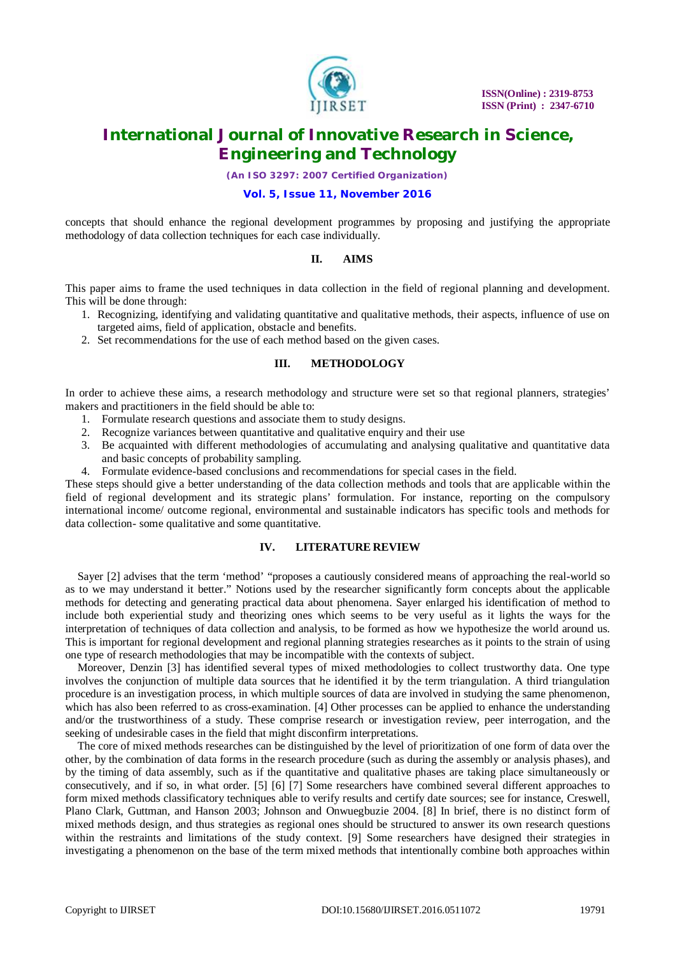

*(An ISO 3297: 2007 Certified Organization)*

### **Vol. 5, Issue 11, November 2016**

concepts that should enhance the regional development programmes by proposing and justifying the appropriate methodology of data collection techniques for each case individually.

### **II. AIMS**

This paper aims to frame the used techniques in data collection in the field of regional planning and development. This will be done through:

- 1. Recognizing, identifying and validating quantitative and qualitative methods, their aspects, influence of use on targeted aims, field of application, obstacle and benefits.
- 2. Set recommendations for the use of each method based on the given cases.

### **III. METHODOLOGY**

In order to achieve these aims, a research methodology and structure were set so that regional planners, strategies' makers and practitioners in the field should be able to:

- 1. Formulate research questions and associate them to study designs.
- 2. Recognize variances between quantitative and qualitative enquiry and their use
- 3. Be acquainted with different methodologies of accumulating and analysing qualitative and quantitative data and basic concepts of probability sampling.
- 4. Formulate evidence-based conclusions and recommendations for special cases in the field.

These steps should give a better understanding of the data collection methods and tools that are applicable within the field of regional development and its strategic plans' formulation. For instance, reporting on the compulsory international income/ outcome regional, environmental and sustainable indicators has specific tools and methods for data collection- some qualitative and some quantitative.

### **IV. LITERATURE REVIEW**

Sayer [2] advises that the term 'method' "proposes a cautiously considered means of approaching the real-world so as to we may understand it better." Notions used by the researcher significantly form concepts about the applicable methods for detecting and generating practical data about phenomena. Sayer enlarged his identification of method to include both experiential study and theorizing ones which seems to be very useful as it lights the ways for the interpretation of techniques of data collection and analysis, to be formed as how we hypothesize the world around us. This is important for regional development and regional planning strategies researches as it points to the strain of using one type of research methodologies that may be incompatible with the contexts of subject.

Moreover, Denzin [3] has identified several types of mixed methodologies to collect trustworthy data. One type involves the conjunction of multiple data sources that he identified it by the term triangulation. A third triangulation procedure is an investigation process, in which multiple sources of data are involved in studying the same phenomenon, which has also been referred to as cross-examination. [4] Other processes can be applied to enhance the understanding and/or the trustworthiness of a study. These comprise research or investigation review, peer interrogation, and the seeking of undesirable cases in the field that might disconfirm interpretations.

The core of mixed methods researches can be distinguished by the level of prioritization of one form of data over the other, by the combination of data forms in the research procedure (such as during the assembly or analysis phases), and by the timing of data assembly, such as if the quantitative and qualitative phases are taking place simultaneously or consecutively, and if so, in what order. [5] [6] [7] Some researchers have combined several different approaches to form mixed methods classificatory techniques able to verify results and certify date sources; see for instance, Creswell, Plano Clark, Guttman, and Hanson 2003; Johnson and Onwuegbuzie 2004. [8] In brief, there is no distinct form of mixed methods design, and thus strategies as regional ones should be structured to answer its own research questions within the restraints and limitations of the study context. [9] Some researchers have designed their strategies in investigating a phenomenon on the base of the term mixed methods that intentionally combine both approaches within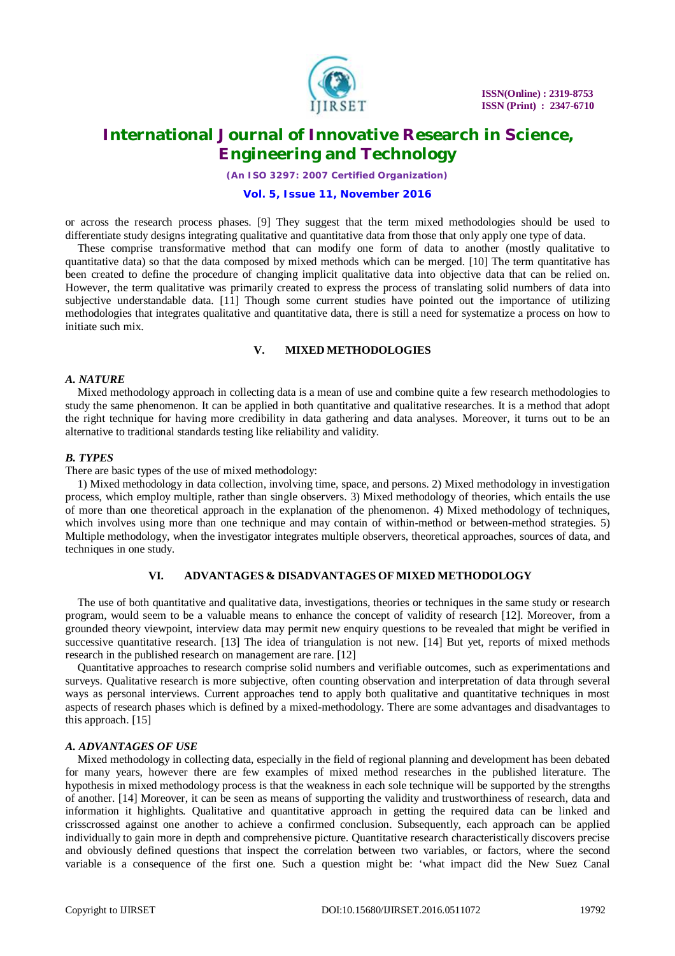

*(An ISO 3297: 2007 Certified Organization)*

#### **Vol. 5, Issue 11, November 2016**

or across the research process phases. [9] They suggest that the term mixed methodologies should be used to differentiate study designs integrating qualitative and quantitative data from those that only apply one type of data.

These comprise transformative method that can modify one form of data to another (mostly qualitative to quantitative data) so that the data composed by mixed methods which can be merged. [10] The term quantitative has been created to define the procedure of changing implicit qualitative data into objective data that can be relied on. However, the term qualitative was primarily created to express the process of translating solid numbers of data into subjective understandable data. [11] Though some current studies have pointed out the importance of utilizing methodologies that integrates qualitative and quantitative data, there is still a need for systematize a process on how to initiate such mix.

#### **V. MIXED METHODOLOGIES**

### *A. NATURE*

Mixed methodology approach in collecting data is a mean of use and combine quite a few research methodologies to study the same phenomenon. It can be applied in both quantitative and qualitative researches. It is a method that adopt the right technique for having more credibility in data gathering and data analyses. Moreover, it turns out to be an alternative to traditional standards testing like reliability and validity.

#### *B. TYPES*

There are basic types of the use of mixed methodology:

1) Mixed methodology in data collection, involving time, space, and persons. 2) Mixed methodology in investigation process, which employ multiple, rather than single observers. 3) Mixed methodology of theories, which entails the use of more than one theoretical approach in the explanation of the phenomenon. 4) Mixed methodology of techniques, which involves using more than one technique and may contain of within-method or between-method strategies. 5) Multiple methodology, when the investigator integrates multiple observers, theoretical approaches, sources of data, and techniques in one study.

### **VI. ADVANTAGES & DISADVANTAGES OF MIXED METHODOLOGY**

The use of both quantitative and qualitative data, investigations, theories or techniques in the same study or research program, would seem to be a valuable means to enhance the concept of validity of research [12]. Moreover, from a grounded theory viewpoint, interview data may permit new enquiry questions to be revealed that might be verified in successive quantitative research. [13] The idea of triangulation is not new. [14] But yet, reports of mixed methods research in the published research on management are rare. [12]

Quantitative approaches to research comprise solid numbers and verifiable outcomes, such as experimentations and surveys. Qualitative research is more subjective, often counting observation and interpretation of data through several ways as personal interviews. Current approaches tend to apply both qualitative and quantitative techniques in most aspects of research phases which is defined by a mixed-methodology. There are some advantages and disadvantages to this approach. [15]

#### *A. ADVANTAGES OF USE*

Mixed methodology in collecting data, especially in the field of regional planning and development has been debated for many years, however there are few examples of mixed method researches in the published literature. The hypothesis in mixed methodology process is that the weakness in each sole technique will be supported by the strengths of another. [14] Moreover, it can be seen as means of supporting the validity and trustworthiness of research, data and information it highlights. Qualitative and quantitative approach in getting the required data can be linked and crisscrossed against one another to achieve a confirmed conclusion. Subsequently, each approach can be applied individually to gain more in depth and comprehensive picture. Quantitative research characteristically discovers precise and obviously defined questions that inspect the correlation between two variables, or factors, where the second variable is a consequence of the first one. Such a question might be: 'what impact did the New Suez Canal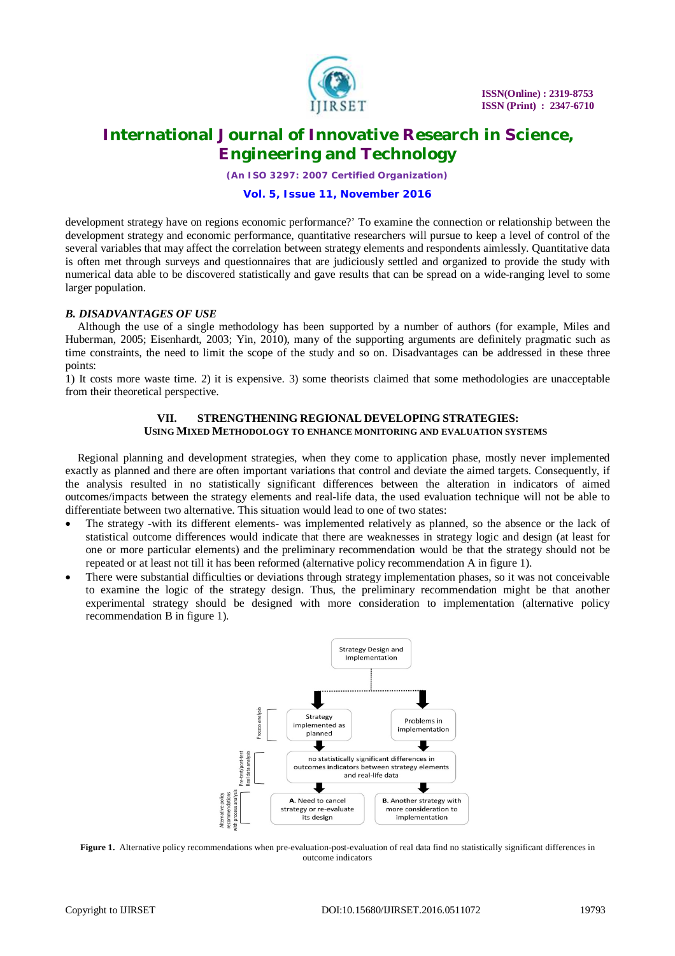

*(An ISO 3297: 2007 Certified Organization)*

### **Vol. 5, Issue 11, November 2016**

development strategy have on regions economic performance?' To examine the connection or relationship between the development strategy and economic performance, quantitative researchers will pursue to keep a level of control of the several variables that may affect the correlation between strategy elements and respondents aimlessly. Quantitative data is often met through surveys and questionnaires that are judiciously settled and organized to provide the study with numerical data able to be discovered statistically and gave results that can be spread on a wide-ranging level to some larger population.

### *B. DISADVANTAGES OF USE*

Although the use of a single methodology has been supported by a number of authors (for example, Miles and Huberman, 2005; Eisenhardt, 2003; Yin, 2010), many of the supporting arguments are definitely pragmatic such as time constraints, the need to limit the scope of the study and so on. Disadvantages can be addressed in these three points:

1) It costs more waste time. 2) it is expensive. 3) some theorists claimed that some methodologies are unacceptable from their theoretical perspective.

### **VII. STRENGTHENING REGIONAL DEVELOPING STRATEGIES: USING MIXED METHODOLOGY TO ENHANCE MONITORING AND EVALUATION SYSTEMS**

Regional planning and development strategies, when they come to application phase, mostly never implemented exactly as planned and there are often important variations that control and deviate the aimed targets. Consequently, if the analysis resulted in no statistically significant differences between the alteration in indicators of aimed outcomes/impacts between the strategy elements and real-life data, the used evaluation technique will not be able to differentiate between two alternative. This situation would lead to one of two states:

- The strategy -with its different elements- was implemented relatively as planned, so the absence or the lack of statistical outcome differences would indicate that there are weaknesses in strategy logic and design (at least for one or more particular elements) and the preliminary recommendation would be that the strategy should not be repeated or at least not till it has been reformed (alternative policy recommendation A in figure 1).
- There were substantial difficulties or deviations through strategy implementation phases, so it was not conceivable to examine the logic of the strategy design. Thus, the preliminary recommendation might be that another experimental strategy should be designed with more consideration to implementation (alternative policy recommendation B in figure 1).



Figure 1. Alternative policy recommendations when pre-evaluation-post-evaluation of real data find no statistically significant differences in outcome indicators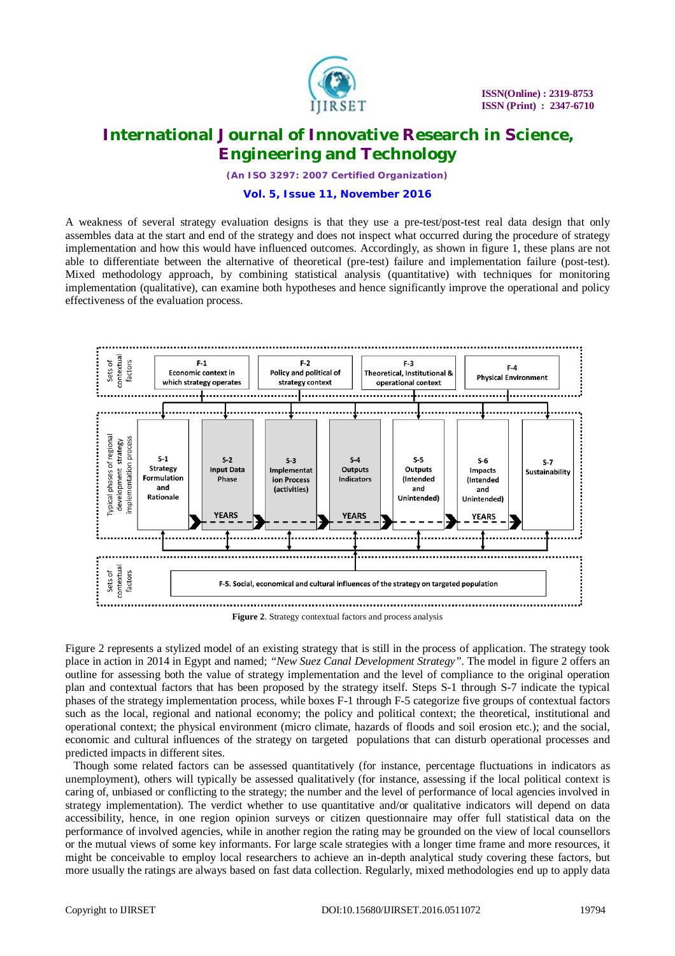

*(An ISO 3297: 2007 Certified Organization)*

### **Vol. 5, Issue 11, November 2016**

A weakness of several strategy evaluation designs is that they use a pre-test/post-test real data design that only assembles data at the start and end of the strategy and does not inspect what occurred during the procedure of strategy implementation and how this would have influenced outcomes. Accordingly, as shown in figure 1, these plans are not able to differentiate between the alternative of theoretical (pre-test) failure and implementation failure (post-test). Mixed methodology approach, by combining statistical analysis (quantitative) with techniques for monitoring implementation (qualitative), can examine both hypotheses and hence significantly improve the operational and policy effectiveness of the evaluation process.



Figure 2 represents a stylized model of an existing strategy that is still in the process of application. The strategy took place in action in 2014 in Egypt and named; *"New Suez Canal Development Strategy"*. The model in figure 2 offers an outline for assessing both the value of strategy implementation and the level of compliance to the original operation plan and contextual factors that has been proposed by the strategy itself. Steps S-1 through S-7 indicate the typical phases of the strategy implementation process, while boxes F-1 through F-5 categorize five groups of contextual factors such as the local, regional and national economy; the policy and political context; the theoretical, institutional and operational context; the physical environment (micro climate, hazards of floods and soil erosion etc.); and the social, economic and cultural influences of the strategy on targeted populations that can disturb operational processes and predicted impacts in different sites.

Though some related factors can be assessed quantitatively (for instance, percentage fluctuations in indicators as unemployment), others will typically be assessed qualitatively (for instance, assessing if the local political context is caring of, unbiased or conflicting to the strategy; the number and the level of performance of local agencies involved in strategy implementation). The verdict whether to use quantitative and/or qualitative indicators will depend on data accessibility, hence, in one region opinion surveys or citizen questionnaire may offer full statistical data on the performance of involved agencies, while in another region the rating may be grounded on the view of local counsellors or the mutual views of some key informants. For large scale strategies with a longer time frame and more resources, it might be conceivable to employ local researchers to achieve an in-depth analytical study covering these factors, but more usually the ratings are always based on fast data collection. Regularly, mixed methodologies end up to apply data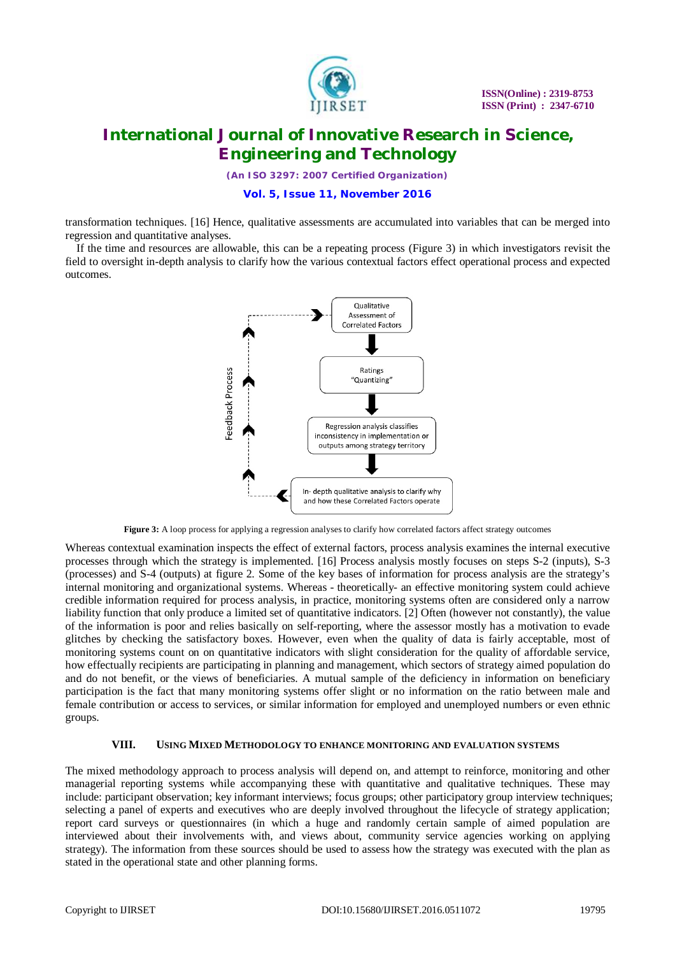

*(An ISO 3297: 2007 Certified Organization)*

**Vol. 5, Issue 11, November 2016**

transformation techniques. [16] Hence, qualitative assessments are accumulated into variables that can be merged into regression and quantitative analyses.

If the time and resources are allowable, this can be a repeating process (Figure 3) in which investigators revisit the field to oversight in-depth analysis to clarify how the various contextual factors effect operational process and expected outcomes.



**Figure 3:** A loop process for applying a regression analyses to clarify how correlated factors affect strategy outcomes

Whereas contextual examination inspects the effect of external factors, process analysis examines the internal executive processes through which the strategy is implemented. [16] Process analysis mostly focuses on steps S-2 (inputs), S-3 (processes) and S-4 (outputs) at figure 2. Some of the key bases of information for process analysis are the strategy's internal monitoring and organizational systems. Whereas - theoretically- an effective monitoring system could achieve credible information required for process analysis, in practice, monitoring systems often are considered only a narrow liability function that only produce a limited set of quantitative indicators. [2] Often (however not constantly), the value of the information is poor and relies basically on self-reporting, where the assessor mostly has a motivation to evade glitches by checking the satisfactory boxes. However, even when the quality of data is fairly acceptable, most of monitoring systems count on on quantitative indicators with slight consideration for the quality of affordable service, how effectually recipients are participating in planning and management, which sectors of strategy aimed population do and do not benefit, or the views of beneficiaries. A mutual sample of the deficiency in information on beneficiary participation is the fact that many monitoring systems offer slight or no information on the ratio between male and female contribution or access to services, or similar information for employed and unemployed numbers or even ethnic groups.

### **VIII. USING MIXED METHODOLOGY TO ENHANCE MONITORING AND EVALUATION SYSTEMS**

The mixed methodology approach to process analysis will depend on, and attempt to reinforce, monitoring and other managerial reporting systems while accompanying these with quantitative and qualitative techniques. These may include: participant observation; key informant interviews; focus groups; other participatory group interview techniques; selecting a panel of experts and executives who are deeply involved throughout the lifecycle of strategy application; report card surveys or questionnaires (in which a huge and randomly certain sample of aimed population are interviewed about their involvements with, and views about, community service agencies working on applying strategy). The information from these sources should be used to assess how the strategy was executed with the plan as stated in the operational state and other planning forms.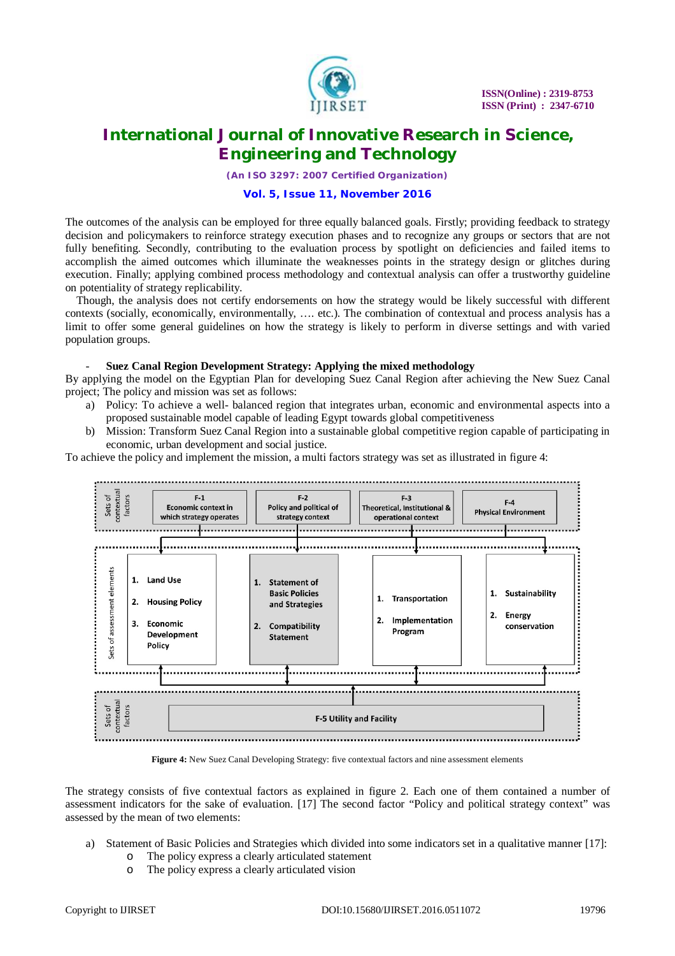

*(An ISO 3297: 2007 Certified Organization)*

### **Vol. 5, Issue 11, November 2016**

The outcomes of the analysis can be employed for three equally balanced goals. Firstly; providing feedback to strategy decision and policymakers to reinforce strategy execution phases and to recognize any groups or sectors that are not fully benefiting. Secondly, contributing to the evaluation process by spotlight on deficiencies and failed items to accomplish the aimed outcomes which illuminate the weaknesses points in the strategy design or glitches during execution. Finally; applying combined process methodology and contextual analysis can offer a trustworthy guideline on potentiality of strategy replicability.

Though, the analysis does not certify endorsements on how the strategy would be likely successful with different contexts (socially, economically, environmentally, …. etc.). The combination of contextual and process analysis has a limit to offer some general guidelines on how the strategy is likely to perform in diverse settings and with varied population groups.

### - **Suez Canal Region Development Strategy: Applying the mixed methodology**

By applying the model on the Egyptian Plan for developing Suez Canal Region after achieving the New Suez Canal project; The policy and mission was set as follows:

- a) Policy: To achieve a well- balanced region that integrates urban, economic and environmental aspects into a proposed sustainable model capable of leading Egypt towards global competitiveness
- b) Mission: Transform Suez Canal Region into a sustainable global competitive region capable of participating in economic, urban development and social justice.

To achieve the policy and implement the mission, a multi factors strategy was set as illustrated in figure 4:



**Figure 4:** New Suez Canal Developing Strategy: five contextual factors and nine assessment elements

The strategy consists of five contextual factors as explained in figure 2. Each one of them contained a number of assessment indicators for the sake of evaluation. [17] The second factor "Policy and political strategy context" was assessed by the mean of two elements:

- a) Statement of Basic Policies and Strategies which divided into some indicators set in a qualitative manner [17]:
	- o The policy express a clearly articulated statement
	- o The policy express a clearly articulated vision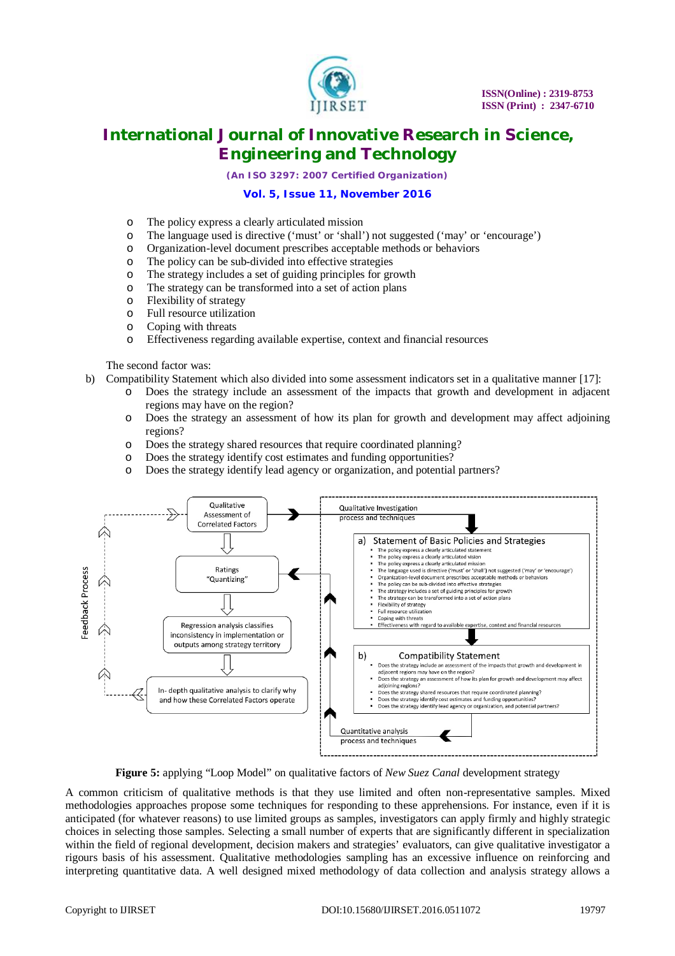

*(An ISO 3297: 2007 Certified Organization)*

### **Vol. 5, Issue 11, November 2016**

- o The policy express a clearly articulated mission
- o The language used is directive ('must' or 'shall') not suggested ('may' or 'encourage')
- o Organization-level document prescribes acceptable methods or behaviors
- o The policy can be sub-divided into effective strategies
- o The strategy includes a set of guiding principles for growth
- o The strategy can be transformed into a set of action plans
- o Flexibility of strategy
- o Full resource utilization
- o Coping with threats
- o Effectiveness regarding available expertise, context and financial resources

The second factor was:

- b) Compatibility Statement which also divided into some assessment indicators set in a qualitative manner [17]:
	- Does the strategy include an assessment of the impacts that growth and development in adjacent regions may have on the region?
	- o Does the strategy an assessment of how its plan for growth and development may affect adjoining regions?
	- o Does the strategy shared resources that require coordinated planning?
	- o Does the strategy identify cost estimates and funding opportunities?
	- Does the strategy identify lead agency or organization, and potential partners?



**Figure 5:** applying "Loop Model" on qualitative factors of *New Suez Canal* development strategy

A common criticism of qualitative methods is that they use limited and often non-representative samples. Mixed methodologies approaches propose some techniques for responding to these apprehensions. For instance, even if it is anticipated (for whatever reasons) to use limited groups as samples, investigators can apply firmly and highly strategic choices in selecting those samples. Selecting a small number of experts that are significantly different in specialization within the field of regional development, decision makers and strategies' evaluators, can give qualitative investigator a rigours basis of his assessment. Qualitative methodologies sampling has an excessive influence on reinforcing and interpreting quantitative data. A well designed mixed methodology of data collection and analysis strategy allows a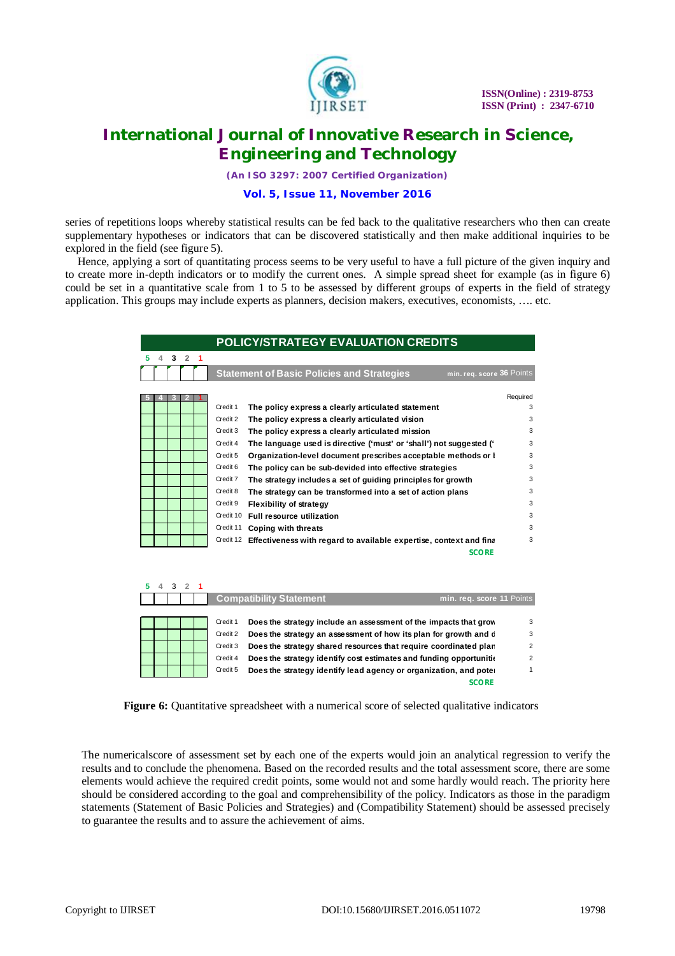

*(An ISO 3297: 2007 Certified Organization)*

### **Vol. 5, Issue 11, November 2016**

series of repetitions loops whereby statistical results can be fed back to the qualitative researchers who then can create supplementary hypotheses or indicators that can be discovered statistically and then make additional inquiries to be explored in the field (see figure 5).

Hence, applying a sort of quantitating process seems to be very useful to have a full picture of the given inquiry and to create more in-depth indicators or to modify the current ones. A simple spread sheet for example (as in figure 6) could be set in a quantitative scale from 1 to 5 to be assessed by different groups of experts in the field of strategy application. This groups may include experts as planners, decision makers, executives, economists, …. etc.

|  |  |           | <b>POLICY/STRATEGY EVALUATION CREDITS</b>                                      |          |
|--|--|-----------|--------------------------------------------------------------------------------|----------|
|  |  |           |                                                                                |          |
|  |  |           | <b>Statement of Basic Policies and Strategies</b><br>min. req. score 36 Points |          |
|  |  |           |                                                                                |          |
|  |  |           |                                                                                | Required |
|  |  | Credit 1  | The policy express a clearly articulated statement                             | 3        |
|  |  | Credit 2  | The policy express a clearly articulated vision                                | 3        |
|  |  | Credit 3  | The policy express a clearly articulated mission                               | 3        |
|  |  | Credit 4  | The language used is directive ('must' or 'shall') not suggested ('            | 3        |
|  |  | Credit 5  | Organization-level document prescribes acceptable methods or I                 | 3        |
|  |  | Credit 6  | The policy can be sub-devided into effective strategies                        | 3        |
|  |  | Credit 7  | The strategy includes a set of guiding principles for growth                   | 3        |
|  |  | Credit 8  | The strategy can be transformed into a set of action plans                     | 3        |
|  |  | Credit 9  | <b>Flexibility of strategy</b>                                                 | 3        |
|  |  | Credit 10 | <b>Full resource utilization</b>                                               | 3        |
|  |  | Credit 11 | Coping with threats                                                            | 3        |
|  |  | Credit 12 | Effectiveness with regard to available expertise, context and final            | 3        |
|  |  |           | <b>SCORE</b>                                                                   |          |

|  |  |          | <b>Compatibility Statement</b>                                      | min. reg. score 11 Points |
|--|--|----------|---------------------------------------------------------------------|---------------------------|
|  |  |          |                                                                     |                           |
|  |  | Credit 1 | Does the strategy include an assessment of the impacts that grow    | 3                         |
|  |  | Credit 2 | Does the strategy an assessment of how its plan for growth and d    | з                         |
|  |  | Credit 3 | Does the strategy shared resources that require coordinated plan    |                           |
|  |  | Credit 4 | Does the strategy identify cost estimates and funding opportunition |                           |
|  |  | Credit 5 | Does the strategy identify lead agency or organization, and poter   |                           |
|  |  |          | <b>SCORE</b>                                                        |                           |

Figure 6: Quantitative spreadsheet with a numerical score of selected qualitative indicators

The numericalscore of assessment set by each one of the experts would join an analytical regression to verify the results and to conclude the phenomena. Based on the recorded results and the total assessment score, there are some elements would achieve the required credit points, some would not and some hardly would reach. The priority here should be considered according to the goal and comprehensibility of the policy. Indicators as those in the paradigm statements (Statement of Basic Policies and Strategies) and (Compatibility Statement) should be assessed precisely to guarantee the results and to assure the achievement of aims.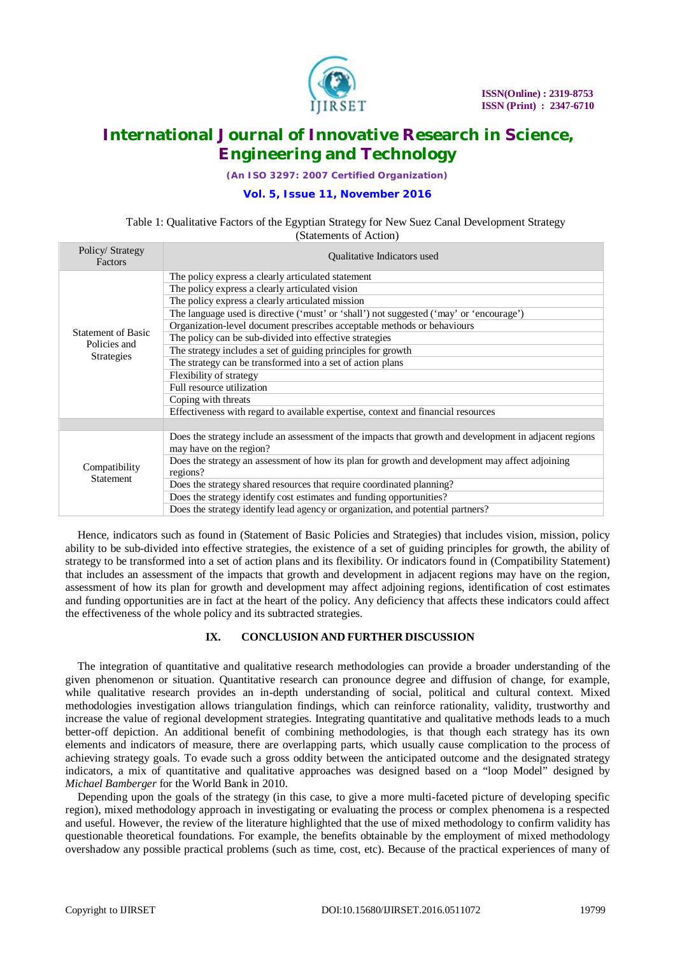

*(An ISO 3297: 2007 Certified Organization)*

### **Vol. 5, Issue 11, November 2016**

### Table 1: Qualitative Factors of the Egyptian Strategy for New Suez Canal Development Strategy (Statements of Action)

| Policy/Strategy<br>Factors | Qualitative Indicators used                                                                            |  |  |  |
|----------------------------|--------------------------------------------------------------------------------------------------------|--|--|--|
|                            | The policy express a clearly articulated statement                                                     |  |  |  |
|                            | The policy express a clearly articulated vision                                                        |  |  |  |
|                            | The policy express a clearly articulated mission                                                       |  |  |  |
|                            | The language used is directive ('must' or 'shall') not suggested ('may' or 'encourage')                |  |  |  |
| <b>Statement of Basic</b>  | Organization-level document prescribes acceptable methods or behaviours                                |  |  |  |
| Policies and               | The policy can be sub-divided into effective strategies                                                |  |  |  |
| <b>Strategies</b>          | The strategy includes a set of guiding principles for growth                                           |  |  |  |
|                            | The strategy can be transformed into a set of action plans                                             |  |  |  |
|                            | Flexibility of strategy                                                                                |  |  |  |
|                            | Full resource utilization                                                                              |  |  |  |
|                            | Coping with threats                                                                                    |  |  |  |
|                            | Effectiveness with regard to available expertise, context and financial resources                      |  |  |  |
|                            |                                                                                                        |  |  |  |
|                            | Does the strategy include an assessment of the impacts that growth and development in adjacent regions |  |  |  |
|                            | may have on the region?                                                                                |  |  |  |
| Compatibility              | Does the strategy an assessment of how its plan for growth and development may affect adjoining        |  |  |  |
| <b>Statement</b>           | regions?                                                                                               |  |  |  |
|                            | Does the strategy shared resources that require coordinated planning?                                  |  |  |  |
|                            | Does the strategy identify cost estimates and funding opportunities?                                   |  |  |  |
|                            | Does the strategy identify lead agency or organization, and potential partners?                        |  |  |  |

Hence, indicators such as found in (Statement of Basic Policies and Strategies) that includes vision, mission, policy ability to be sub-divided into effective strategies, the existence of a set of guiding principles for growth, the ability of strategy to be transformed into a set of action plans and its flexibility. Or indicators found in (Compatibility Statement) that includes an assessment of the impacts that growth and development in adjacent regions may have on the region, assessment of how its plan for growth and development may affect adjoining regions, identification of cost estimates and funding opportunities are in fact at the heart of the policy. Any deficiency that affects these indicators could affect the effectiveness of the whole policy and its subtracted strategies.

### **IX. CONCLUSION AND FURTHER DISCUSSION**

The integration of quantitative and qualitative research methodologies can provide a broader understanding of the given phenomenon or situation. Quantitative research can pronounce degree and diffusion of change, for example, while qualitative research provides an in-depth understanding of social, political and cultural context. Mixed methodologies investigation allows triangulation findings, which can reinforce rationality, validity, trustworthy and increase the value of regional development strategies. Integrating quantitative and qualitative methods leads to a much better-off depiction. An additional benefit of combining methodologies, is that though each strategy has its own elements and indicators of measure, there are overlapping parts, which usually cause complication to the process of achieving strategy goals. To evade such a gross oddity between the anticipated outcome and the designated strategy indicators, a mix of quantitative and qualitative approaches was designed based on a "loop Model" designed by *Michael Bamberger* for the World Bank in 2010.

Depending upon the goals of the strategy (in this case, to give a more multi-faceted picture of developing specific region), mixed methodology approach in investigating or evaluating the process or complex phenomena is a respected and useful. However, the review of the literature highlighted that the use of mixed methodology to confirm validity has questionable theoretical foundations. For example, the benefits obtainable by the employment of mixed methodology overshadow any possible practical problems (such as time, cost, etc). Because of the practical experiences of many of